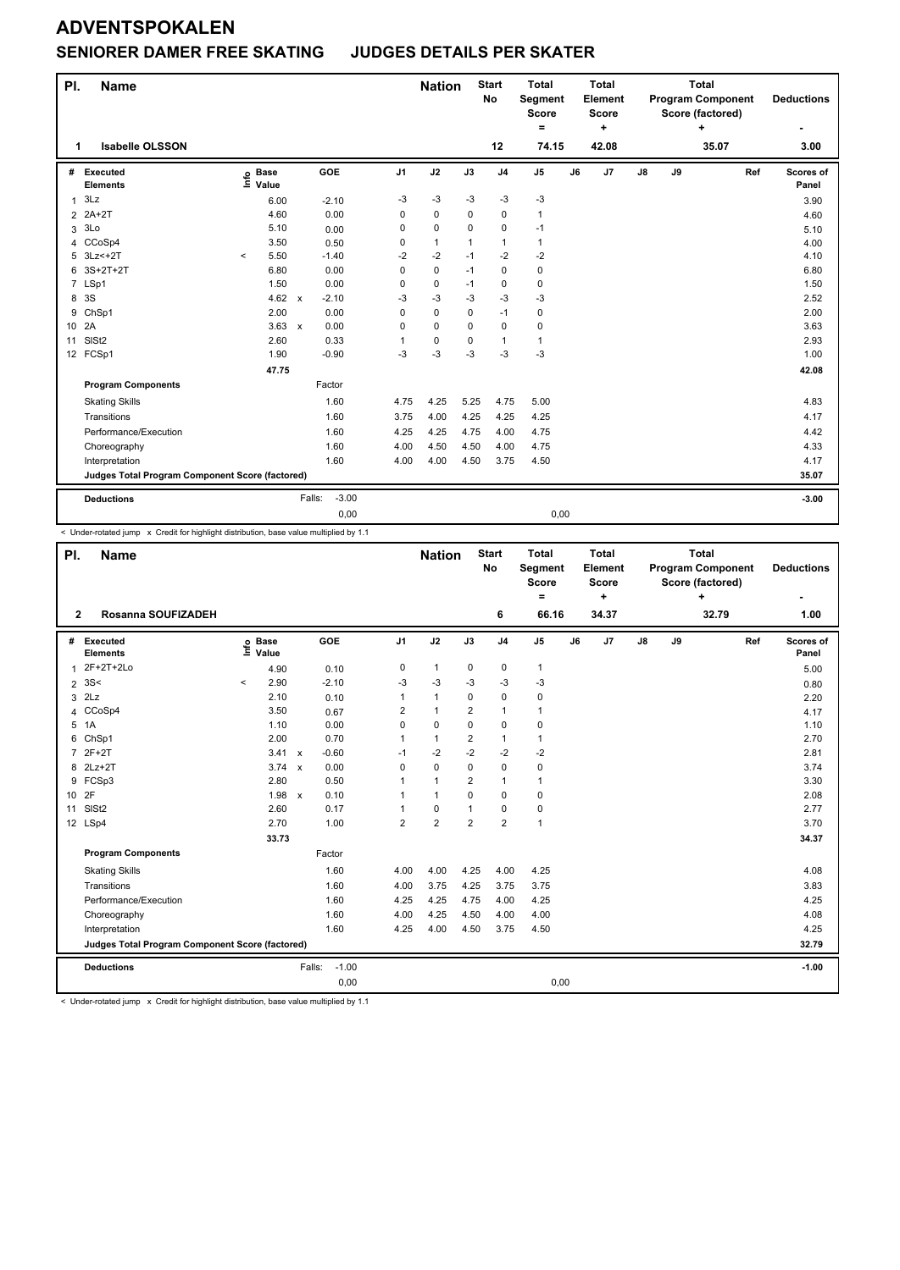#### **SENIORER DAMER FREE SKATING JUDGES DETAILS PER SKATER**

| PI.            | Name                                            |         |                                  |                   |          | <b>Nation</b> |          | <b>Start</b><br><b>No</b> | <b>Total</b><br>Segment<br><b>Score</b><br>$=$ |    | <b>Total</b><br>Element<br><b>Score</b><br>٠ |    |    | <b>Total</b><br><b>Program Component</b><br>Score (factored)<br>÷ |     | <b>Deductions</b>  |
|----------------|-------------------------------------------------|---------|----------------------------------|-------------------|----------|---------------|----------|---------------------------|------------------------------------------------|----|----------------------------------------------|----|----|-------------------------------------------------------------------|-----|--------------------|
| 1              | <b>Isabelle OLSSON</b>                          |         |                                  |                   |          |               |          | 12                        | 74.15                                          |    | 42.08                                        |    |    | 35.07                                                             |     | 3.00               |
| #              | Executed<br><b>Elements</b>                     |         | <b>Base</b><br>e Base<br>⊑ Value | GOE               | J1       | J2            | J3       | J <sub>4</sub>            | J <sub>5</sub>                                 | J6 | J7                                           | J8 | J9 |                                                                   | Ref | Scores of<br>Panel |
| 1              | 3Lz                                             |         | 6.00                             | $-2.10$           | $-3$     | $-3$          | $-3$     | $-3$                      | $-3$                                           |    |                                              |    |    |                                                                   |     | 3.90               |
| $\overline{2}$ | $2A+2T$                                         |         | 4.60                             | 0.00              | 0        | 0             | 0        | 0                         | 1                                              |    |                                              |    |    |                                                                   |     | 4.60               |
| 3              | 3Lo                                             |         | 5.10                             | 0.00              | 0        | $\mathbf 0$   | 0        | 0                         | $-1$                                           |    |                                              |    |    |                                                                   |     | 5.10               |
| 4              | CCoSp4                                          |         | 3.50                             | 0.50              | 0        | $\mathbf{1}$  | 1        | $\mathbf{1}$              | 1                                              |    |                                              |    |    |                                                                   |     | 4.00               |
| 5              | $3Lz<+2T$                                       | $\prec$ | 5.50                             | $-1.40$           | $-2$     | $-2$          | $-1$     | $-2$                      | $-2$                                           |    |                                              |    |    |                                                                   |     | 4.10               |
| 6              | 3S+2T+2T                                        |         | 6.80                             | 0.00              | $\Omega$ | $\mathbf 0$   | $-1$     | 0                         | 0                                              |    |                                              |    |    |                                                                   |     | 6.80               |
|                | 7 LSp1                                          |         | 1.50                             | 0.00              | 0        | $\mathbf 0$   | $-1$     | 0                         | 0                                              |    |                                              |    |    |                                                                   |     | 1.50               |
| 8              | 3S                                              |         | $4.62 \times$                    | $-2.10$           | -3       | $-3$          | -3       | $-3$                      | $-3$                                           |    |                                              |    |    |                                                                   |     | 2.52               |
| 9              | ChSp1                                           |         | 2.00                             | 0.00              | $\Omega$ | $\Omega$      | 0        | $-1$                      | 0                                              |    |                                              |    |    |                                                                   |     | 2.00               |
|                | 10 2A                                           |         | $3.63 \times$                    | 0.00              | $\Omega$ | $\mathbf 0$   | $\Omega$ | 0                         | 0                                              |    |                                              |    |    |                                                                   |     | 3.63               |
| 11             | SIS <sub>t2</sub>                               |         | 2.60                             | 0.33              |          | $\mathbf 0$   | 0        | 1                         | 1                                              |    |                                              |    |    |                                                                   |     | 2.93               |
|                | 12 FCSp1                                        |         | 1.90                             | $-0.90$           | $-3$     | $-3$          | $-3$     | $-3$                      | $-3$                                           |    |                                              |    |    |                                                                   |     | 1.00               |
|                |                                                 |         | 47.75                            |                   |          |               |          |                           |                                                |    |                                              |    |    |                                                                   |     | 42.08              |
|                | <b>Program Components</b>                       |         |                                  | Factor            |          |               |          |                           |                                                |    |                                              |    |    |                                                                   |     |                    |
|                | <b>Skating Skills</b>                           |         |                                  | 1.60              | 4.75     | 4.25          | 5.25     | 4.75                      | 5.00                                           |    |                                              |    |    |                                                                   |     | 4.83               |
|                | Transitions                                     |         |                                  | 1.60              | 3.75     | 4.00          | 4.25     | 4.25                      | 4.25                                           |    |                                              |    |    |                                                                   |     | 4.17               |
|                | Performance/Execution                           |         |                                  | 1.60              | 4.25     | 4.25          | 4.75     | 4.00                      | 4.75                                           |    |                                              |    |    |                                                                   |     | 4.42               |
|                | Choreography                                    |         |                                  | 1.60              | 4.00     | 4.50          | 4.50     | 4.00                      | 4.75                                           |    |                                              |    |    |                                                                   |     | 4.33               |
|                | Interpretation                                  |         |                                  | 1.60              | 4.00     | 4.00          | 4.50     | 3.75                      | 4.50                                           |    |                                              |    |    |                                                                   |     | 4.17               |
|                | Judges Total Program Component Score (factored) |         |                                  |                   |          |               |          |                           |                                                |    |                                              |    |    |                                                                   |     | 35.07              |
|                | <b>Deductions</b>                               |         |                                  | $-3.00$<br>Falls: |          |               |          |                           |                                                |    |                                              |    |    |                                                                   |     | $-3.00$            |
|                |                                                 |         |                                  | 0,00              |          |               |          |                           | 0,00                                           |    |                                              |    |    |                                                                   |     |                    |

-<br>< Under-rotated jump x Credit for highlight distribution, base value multiplied by 1.1

| PI.            | Name                                            |         |                      |                           |         |                | <b>Nation</b>  |                | <b>Start</b><br><b>No</b> | <b>Total</b><br>Segment<br><b>Score</b> |    | <b>Total</b><br>Element<br><b>Score</b> |               |    | <b>Total</b><br><b>Program Component</b><br>Score (factored) |     | <b>Deductions</b>  |
|----------------|-------------------------------------------------|---------|----------------------|---------------------------|---------|----------------|----------------|----------------|---------------------------|-----------------------------------------|----|-----------------------------------------|---------------|----|--------------------------------------------------------------|-----|--------------------|
| $\mathbf{2}$   | <b>Rosanna SOUFIZADEH</b>                       |         |                      |                           |         |                |                |                | 6                         | $\equiv$<br>66.16                       |    | $\ddot{}$<br>34.37                      |               |    | ÷<br>32.79                                                   |     | 1.00               |
|                |                                                 |         |                      |                           |         |                |                |                |                           |                                         |    |                                         |               |    |                                                              |     |                    |
| #              | Executed<br><b>Elements</b>                     | ١m      | <b>Base</b><br>Value |                           | GOE     | J <sub>1</sub> | J2             | J3             | J <sub>4</sub>            | J5                                      | J6 | J7                                      | $\mathsf{J}8$ | J9 |                                                              | Ref | Scores of<br>Panel |
| 1              | 2F+2T+2Lo                                       |         | 4.90                 |                           | 0.10    | 0              | $\mathbf{1}$   | 0              | 0                         | 1                                       |    |                                         |               |    |                                                              |     | 5.00               |
| $\overline{2}$ | 3S<                                             | $\prec$ | 2.90                 |                           | $-2.10$ | $-3$           | -3             | $-3$           | $-3$                      | $-3$                                    |    |                                         |               |    |                                                              |     | 0.80               |
| 3              | 2Lz                                             |         | 2.10                 |                           | 0.10    | 1              | $\mathbf{1}$   | 0              | $\mathbf 0$               | 0                                       |    |                                         |               |    |                                                              |     | 2.20               |
| 4              | CCoSp4                                          |         | 3.50                 |                           | 0.67    | 2              | $\mathbf{1}$   | 2              | $\mathbf{1}$              | 1                                       |    |                                         |               |    |                                                              |     | 4.17               |
|                | 5 1A                                            |         | 1.10                 |                           | 0.00    | $\mathbf 0$    | $\mathbf 0$    | 0              | $\mathbf 0$               | 0                                       |    |                                         |               |    |                                                              |     | 1.10               |
| 6              | ChSp1                                           |         | 2.00                 |                           | 0.70    | 1              | $\mathbf{1}$   | $\overline{2}$ | $\mathbf{1}$              | 1                                       |    |                                         |               |    |                                                              |     | 2.70               |
| $\overline{7}$ | $2F+2T$                                         |         | 3.41                 | $\boldsymbol{\mathsf{x}}$ | $-0.60$ | $-1$           | $-2$           | $-2$           | $-2$                      | $-2$                                    |    |                                         |               |    |                                                              |     | 2.81               |
| 8              | $2Lz+2T$                                        |         | $3.74 \times$        |                           | 0.00    | 0              | $\mathbf 0$    | 0              | $\mathbf 0$               | 0                                       |    |                                         |               |    |                                                              |     | 3.74               |
| 9              | FCSp3                                           |         | 2.80                 |                           | 0.50    | 1              | $\mathbf{1}$   | $\overline{2}$ | $\mathbf{1}$              | 1                                       |    |                                         |               |    |                                                              |     | 3.30               |
| 10 2F          |                                                 |         | $1.98 \times$        |                           | 0.10    | 1              | $\mathbf{1}$   | 0              | $\mathbf 0$               | 0                                       |    |                                         |               |    |                                                              |     | 2.08               |
| 11             | SIS <sub>t2</sub>                               |         | 2.60                 |                           | 0.17    | $\overline{1}$ | 0              | $\mathbf{1}$   | $\mathbf 0$               | 0                                       |    |                                         |               |    |                                                              |     | 2.77               |
|                | 12 LSp4                                         |         | 2.70                 |                           | 1.00    | $\overline{2}$ | $\overline{2}$ | 2              | $\overline{2}$            | $\mathbf{1}$                            |    |                                         |               |    |                                                              |     | 3.70               |
|                |                                                 |         | 33.73                |                           |         |                |                |                |                           |                                         |    |                                         |               |    |                                                              |     | 34.37              |
|                | <b>Program Components</b>                       |         |                      |                           | Factor  |                |                |                |                           |                                         |    |                                         |               |    |                                                              |     |                    |
|                | <b>Skating Skills</b>                           |         |                      |                           | 1.60    | 4.00           | 4.00           | 4.25           | 4.00                      | 4.25                                    |    |                                         |               |    |                                                              |     | 4.08               |
|                | Transitions                                     |         |                      |                           | 1.60    | 4.00           | 3.75           | 4.25           | 3.75                      | 3.75                                    |    |                                         |               |    |                                                              |     | 3.83               |
|                | Performance/Execution                           |         |                      |                           | 1.60    | 4.25           | 4.25           | 4.75           | 4.00                      | 4.25                                    |    |                                         |               |    |                                                              |     | 4.25               |
|                | Choreography                                    |         |                      |                           | 1.60    | 4.00           | 4.25           | 4.50           | 4.00                      | 4.00                                    |    |                                         |               |    |                                                              |     | 4.08               |
|                | Interpretation                                  |         |                      |                           | 1.60    | 4.25           | 4.00           | 4.50           | 3.75                      | 4.50                                    |    |                                         |               |    |                                                              |     | 4.25               |
|                | Judges Total Program Component Score (factored) |         |                      |                           |         |                |                |                |                           |                                         |    |                                         |               |    |                                                              |     | 32.79              |
|                | <b>Deductions</b>                               |         |                      | Falls:                    | $-1.00$ |                |                |                |                           |                                         |    |                                         |               |    |                                                              |     | $-1.00$            |
|                |                                                 |         |                      |                           | 0,00    |                |                |                |                           | 0,00                                    |    |                                         |               |    |                                                              |     |                    |

< Under-rotated jump x Credit for highlight distribution, base value multiplied by 1.1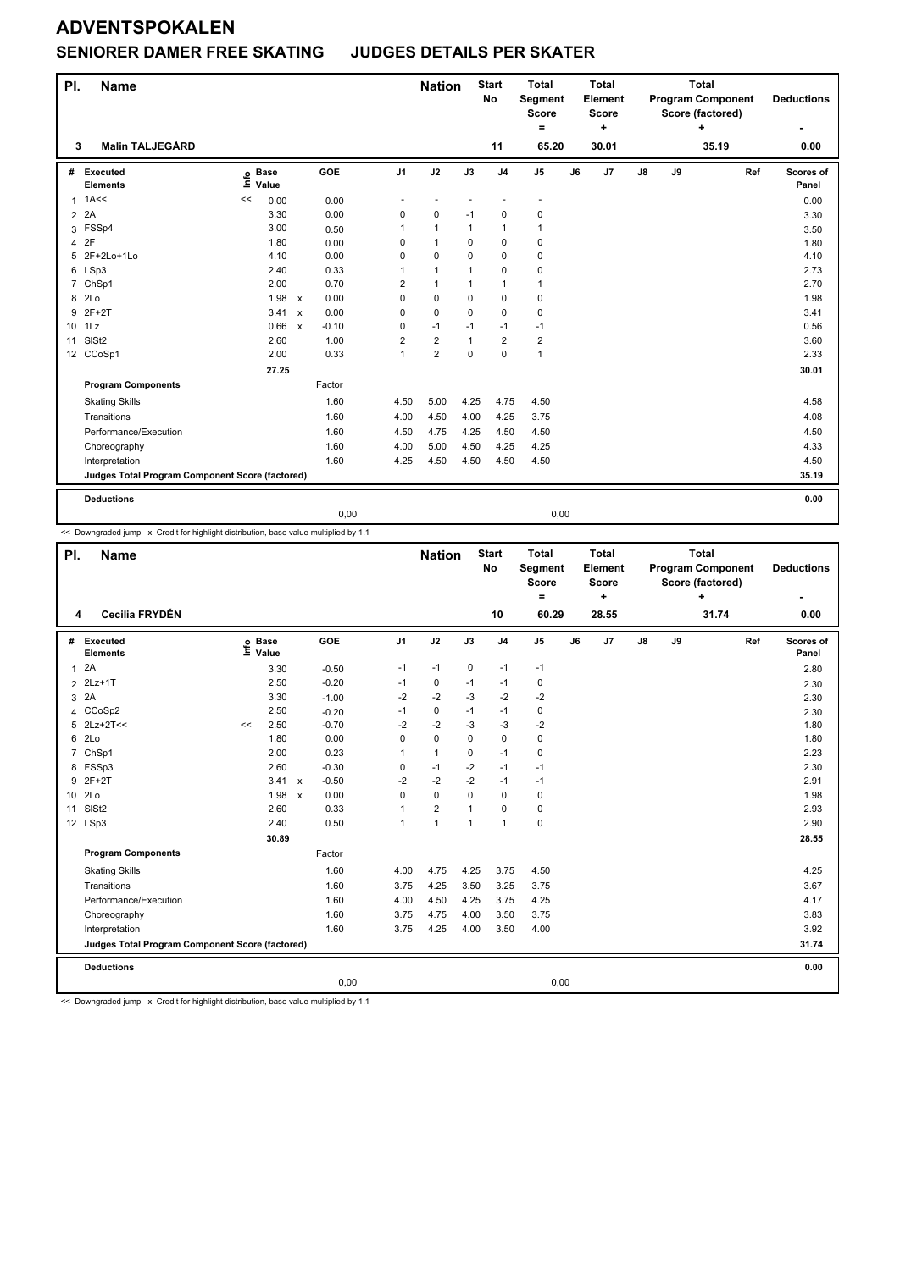### **SENIORER DAMER FREE SKATING JUDGES DETAILS PER SKATER**

| PI. | <b>Name</b>                                     |                            |                                   |                | <b>Nation</b>            |              | <b>Start</b><br><b>No</b> | <b>Total</b><br>Segment<br><b>Score</b><br>$=$ |    | <b>Total</b><br>Element<br><b>Score</b><br>÷ |    |    | <b>Total</b><br><b>Program Component</b><br>Score (factored)<br>٠ |     | <b>Deductions</b>  |
|-----|-------------------------------------------------|----------------------------|-----------------------------------|----------------|--------------------------|--------------|---------------------------|------------------------------------------------|----|----------------------------------------------|----|----|-------------------------------------------------------------------|-----|--------------------|
| 3   | <b>Malin TALJEGÅRD</b>                          |                            |                                   |                |                          |              | 11                        | 65.20                                          |    | 30.01                                        |    |    | 35.19                                                             |     | 0.00               |
| #   | Executed<br><b>Elements</b>                     | <b>Base</b><br>۴ů<br>Value | <b>GOE</b>                        | J <sub>1</sub> | J2                       | J3           | J <sub>4</sub>            | J <sub>5</sub>                                 | J6 | J <sub>7</sub>                               | J8 | J9 |                                                                   | Ref | Scores of<br>Panel |
| 1   | 1A<<                                            | 0.00<br><<                 | 0.00                              | ٠              | $\overline{\phantom{a}}$ |              | $\overline{\phantom{a}}$  | $\blacksquare$                                 |    |                                              |    |    |                                                                   |     | 0.00               |
|     | 2 2A                                            | 3.30                       | 0.00                              | 0              | $\pmb{0}$                | $-1$         | $\mathbf 0$               | 0                                              |    |                                              |    |    |                                                                   |     | 3.30               |
| 3   | FSSp4                                           | 3.00                       | 0.50                              | 1              | $\mathbf{1}$             | 1            | $\mathbf{1}$              | 1                                              |    |                                              |    |    |                                                                   |     | 3.50               |
| 4   | 2F                                              | 1.80                       | 0.00                              | $\Omega$       | $\mathbf{1}$             | 0            | $\mathbf 0$               | 0                                              |    |                                              |    |    |                                                                   |     | 1.80               |
| 5   | 2F+2Lo+1Lo                                      | 4.10                       | 0.00                              | 0              | $\mathbf 0$              | 0            | $\mathbf 0$               | 0                                              |    |                                              |    |    |                                                                   |     | 4.10               |
| 6   | LSp3                                            | 2.40                       | 0.33                              | 1              | $\mathbf{1}$             | 1            | $\mathbf 0$               | 0                                              |    |                                              |    |    |                                                                   |     | 2.73               |
|     | 7 ChSp1                                         | 2.00                       | 0.70                              | 2              | $\mathbf{1}$             | 1            | $\mathbf{1}$              | 1                                              |    |                                              |    |    |                                                                   |     | 2.70               |
| 8   | 2 <sub>LO</sub>                                 | 1.98                       | 0.00<br>$\boldsymbol{\mathsf{x}}$ | $\Omega$       | 0                        | 0            | $\mathbf 0$               | 0                                              |    |                                              |    |    |                                                                   |     | 1.98               |
| 9   | $2F+2T$                                         | 3.41                       | 0.00<br>$\boldsymbol{\mathsf{x}}$ | 0              | $\mathbf 0$              | $\mathbf 0$  | $\mathbf 0$               | 0                                              |    |                                              |    |    |                                                                   |     | 3.41               |
|     | 10 1Lz                                          | 0.66 x                     | $-0.10$                           | 0              | $-1$                     | $-1$         | $-1$                      | $-1$                                           |    |                                              |    |    |                                                                   |     | 0.56               |
| 11  | SISt <sub>2</sub>                               | 2.60                       | 1.00                              | $\overline{2}$ | $\overline{2}$           | $\mathbf{1}$ | $\overline{2}$            | $\overline{2}$                                 |    |                                              |    |    |                                                                   |     | 3.60               |
|     | 12 CCoSp1                                       | 2.00                       | 0.33                              | 1              | $\overline{2}$           | 0            | $\mathbf 0$               | $\mathbf{1}$                                   |    |                                              |    |    |                                                                   |     | 2.33               |
|     |                                                 | 27.25                      |                                   |                |                          |              |                           |                                                |    |                                              |    |    |                                                                   |     | 30.01              |
|     | <b>Program Components</b>                       |                            | Factor                            |                |                          |              |                           |                                                |    |                                              |    |    |                                                                   |     |                    |
|     | <b>Skating Skills</b>                           |                            | 1.60                              | 4.50           | 5.00                     | 4.25         | 4.75                      | 4.50                                           |    |                                              |    |    |                                                                   |     | 4.58               |
|     | Transitions                                     |                            | 1.60                              | 4.00           | 4.50                     | 4.00         | 4.25                      | 3.75                                           |    |                                              |    |    |                                                                   |     | 4.08               |
|     | Performance/Execution                           |                            | 1.60                              | 4.50           | 4.75                     | 4.25         | 4.50                      | 4.50                                           |    |                                              |    |    |                                                                   |     | 4.50               |
|     | Choreography                                    |                            | 1.60                              | 4.00           | 5.00                     | 4.50         | 4.25                      | 4.25                                           |    |                                              |    |    |                                                                   |     | 4.33               |
|     | Interpretation                                  |                            | 1.60                              | 4.25           | 4.50                     | 4.50         | 4.50                      | 4.50                                           |    |                                              |    |    |                                                                   |     | 4.50               |
|     | Judges Total Program Component Score (factored) |                            |                                   |                |                          |              |                           |                                                |    |                                              |    |    |                                                                   |     | 35.19              |
|     | <b>Deductions</b>                               |                            |                                   |                |                          |              |                           |                                                |    |                                              |    |    |                                                                   |     | 0.00               |
|     |                                                 |                            | 0,00                              |                |                          |              |                           | 0,00                                           |    |                                              |    |    |                                                                   |     |                    |

<< Downgraded jump x Credit for highlight distribution, base value multiplied by 1.1

| PI.             | <b>Name</b>                                     |      |                      |              |         |                | <b>Nation</b>  |                | <b>Start</b><br>No | <b>Total</b><br>Segment<br><b>Score</b><br>$\equiv$ |    | <b>Total</b><br>Element<br><b>Score</b><br>÷ |               |    | <b>Total</b><br><b>Program Component</b><br>Score (factored)<br>$\ddot{}$ |     | <b>Deductions</b>  |
|-----------------|-------------------------------------------------|------|----------------------|--------------|---------|----------------|----------------|----------------|--------------------|-----------------------------------------------------|----|----------------------------------------------|---------------|----|---------------------------------------------------------------------------|-----|--------------------|
| 4               | Cecilia FRYDÉN                                  |      |                      |              |         |                |                |                | 10                 | 60.29                                               |    | 28.55                                        |               |    | 31.74                                                                     |     | 0.00               |
| #               | Executed<br><b>Elements</b>                     | lnfo | <b>Base</b><br>Value |              | GOE     | J <sub>1</sub> | J2             | J3             | J <sub>4</sub>     | J5                                                  | J6 | J7                                           | $\mathsf{J}8$ | J9 |                                                                           | Ref | Scores of<br>Panel |
| $\mathbf{1}$    | 2A                                              |      | 3.30                 |              | $-0.50$ | $-1$           | $-1$           | 0              | $-1$               | $-1$                                                |    |                                              |               |    |                                                                           |     | 2.80               |
| 2               | $2Lz+1T$                                        |      | 2.50                 |              | $-0.20$ | -1             | $\mathbf 0$    | $-1$           | $-1$               | $\pmb{0}$                                           |    |                                              |               |    |                                                                           |     | 2.30               |
| 3               | 2A                                              |      | 3.30                 |              | $-1.00$ | $-2$           | $-2$           | -3             | $-2$               | $-2$                                                |    |                                              |               |    |                                                                           |     | 2.30               |
| 4               | CCoSp2                                          |      | 2.50                 |              | $-0.20$ | $-1$           | 0              | $-1$           | $-1$               | 0                                                   |    |                                              |               |    |                                                                           |     | 2.30               |
| 5               | $2Lz+2T<<$                                      | <<   | 2.50                 |              | $-0.70$ | $-2$           | $-2$           | $-3$           | $-3$               | $-2$                                                |    |                                              |               |    |                                                                           |     | 1.80               |
| 6               | 2Lo                                             |      | 1.80                 |              | 0.00    | 0              | $\mathbf 0$    | $\mathbf 0$    | $\mathbf 0$        | $\pmb{0}$                                           |    |                                              |               |    |                                                                           |     | 1.80               |
| $\overline{7}$  | ChSp1                                           |      | 2.00                 |              | 0.23    | 1              | $\mathbf{1}$   | $\Omega$       | $-1$               | $\pmb{0}$                                           |    |                                              |               |    |                                                                           |     | 2.23               |
|                 | 8 FSSp3                                         |      | 2.60                 |              | $-0.30$ | 0              | $-1$           | $-2$           | $-1$               | $-1$                                                |    |                                              |               |    |                                                                           |     | 2.30               |
|                 | 9 2F+2T                                         |      | 3.41                 | $\mathsf{x}$ | $-0.50$ | $-2$           | $-2$           | $-2$           | $-1$               | $-1$                                                |    |                                              |               |    |                                                                           |     | 2.91               |
| 10 <sup>1</sup> | 2Lo                                             |      | 1.98                 | $\mathsf{x}$ | 0.00    | 0              | $\mathbf 0$    | $\Omega$       | $\mathbf 0$        | $\mathbf 0$                                         |    |                                              |               |    |                                                                           |     | 1.98               |
| 11              | SIS <sub>t2</sub>                               |      | 2.60                 |              | 0.33    | 1              | $\overline{2}$ | $\mathbf{1}$   | 0                  | $\pmb{0}$                                           |    |                                              |               |    |                                                                           |     | 2.93               |
|                 | 12 LSp3                                         |      | 2.40                 |              | 0.50    | 1              | $\overline{1}$ | $\overline{1}$ | $\overline{1}$     | $\mathbf 0$                                         |    |                                              |               |    |                                                                           |     | 2.90               |
|                 |                                                 |      | 30.89                |              |         |                |                |                |                    |                                                     |    |                                              |               |    |                                                                           |     | 28.55              |
|                 | <b>Program Components</b>                       |      |                      |              | Factor  |                |                |                |                    |                                                     |    |                                              |               |    |                                                                           |     |                    |
|                 | <b>Skating Skills</b>                           |      |                      |              | 1.60    | 4.00           | 4.75           | 4.25           | 3.75               | 4.50                                                |    |                                              |               |    |                                                                           |     | 4.25               |
|                 | Transitions                                     |      |                      |              | 1.60    | 3.75           | 4.25           | 3.50           | 3.25               | 3.75                                                |    |                                              |               |    |                                                                           |     | 3.67               |
|                 | Performance/Execution                           |      |                      |              | 1.60    | 4.00           | 4.50           | 4.25           | 3.75               | 4.25                                                |    |                                              |               |    |                                                                           |     | 4.17               |
|                 | Choreography                                    |      |                      |              | 1.60    | 3.75           | 4.75           | 4.00           | 3.50               | 3.75                                                |    |                                              |               |    |                                                                           |     | 3.83               |
|                 | Interpretation                                  |      |                      |              | 1.60    | 3.75           | 4.25           | 4.00           | 3.50               | 4.00                                                |    |                                              |               |    |                                                                           |     | 3.92               |
|                 | Judges Total Program Component Score (factored) |      |                      |              |         |                |                |                |                    |                                                     |    |                                              |               |    |                                                                           |     | 31.74              |
|                 | <b>Deductions</b>                               |      |                      |              |         |                |                |                |                    |                                                     |    |                                              |               |    |                                                                           |     | 0.00               |
|                 |                                                 |      |                      |              | 0,00    |                |                |                |                    | 0,00                                                |    |                                              |               |    |                                                                           |     |                    |

<< Downgraded jump x Credit for highlight distribution, base value multiplied by 1.1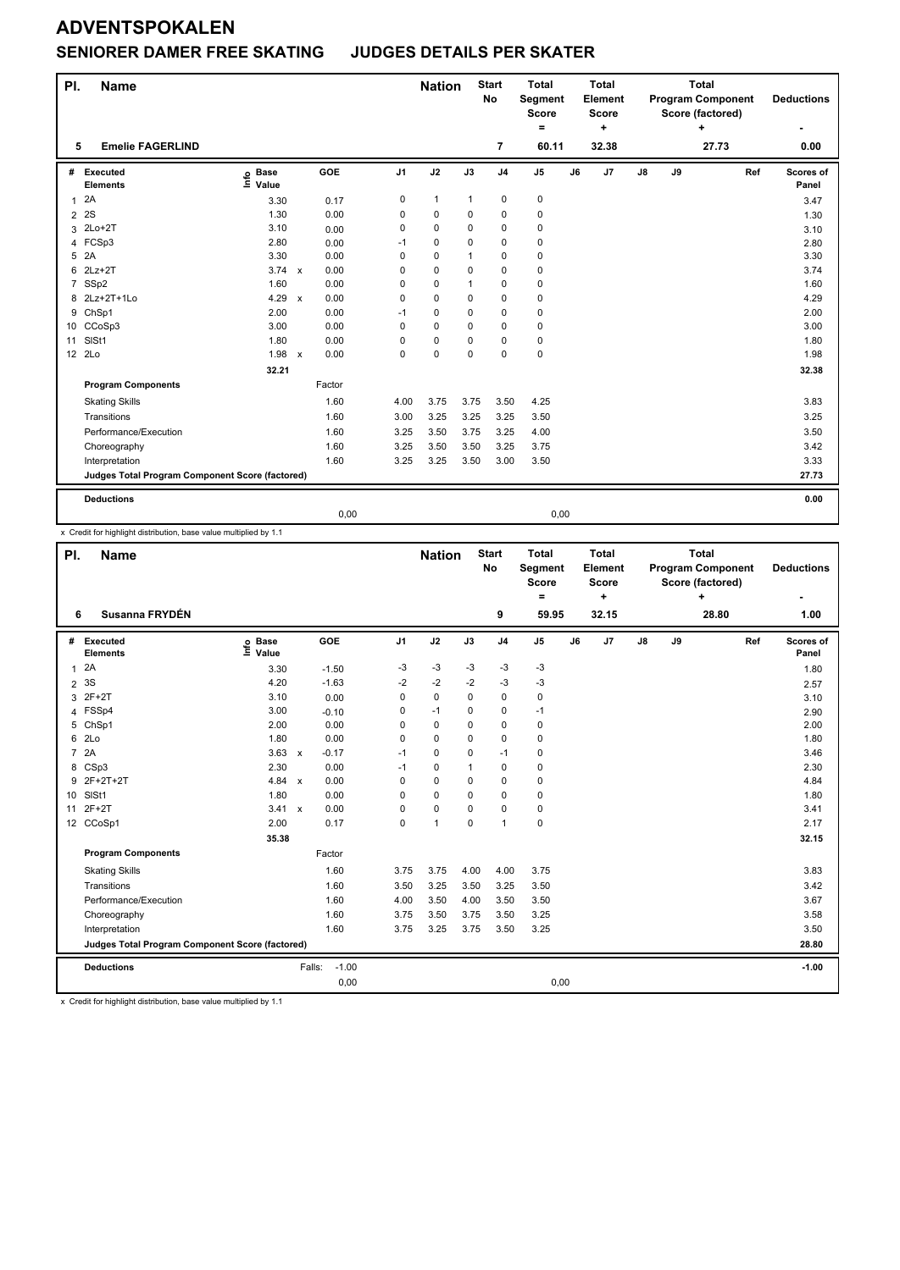#### **SENIORER DAMER FREE SKATING JUDGES DETAILS PER SKATER**

| PI.            | <b>Name</b>                                     |                              |                                   |                | <b>Nation</b> |              | <b>Start</b><br><b>No</b> | <b>Total</b><br>Segment<br><b>Score</b><br>Ξ. |    | <b>Total</b><br>Element<br><b>Score</b><br>÷ |               |    | <b>Total</b><br><b>Program Component</b><br>Score (factored)<br>٠ |     | <b>Deductions</b>  |
|----------------|-------------------------------------------------|------------------------------|-----------------------------------|----------------|---------------|--------------|---------------------------|-----------------------------------------------|----|----------------------------------------------|---------------|----|-------------------------------------------------------------------|-----|--------------------|
| 5              | <b>Emelie FAGERLIND</b>                         |                              |                                   |                |               |              | 7                         | 60.11                                         |    | 32.38                                        |               |    | 27.73                                                             |     | 0.00               |
| #              | <b>Executed</b><br><b>Elements</b>              | <b>Base</b><br>١nfo<br>Value | <b>GOE</b>                        | J <sub>1</sub> | J2            | J3           | J <sub>4</sub>            | J <sub>5</sub>                                | J6 | J <sub>7</sub>                               | $\mathsf{J}8$ | J9 |                                                                   | Ref | Scores of<br>Panel |
| 1              | 2A                                              | 3.30                         | 0.17                              | 0              | $\mathbf{1}$  | 1            | $\mathbf 0$               | 0                                             |    |                                              |               |    |                                                                   |     | 3.47               |
| $\overline{2}$ | 2S                                              | 1.30                         | 0.00                              | 0              | 0             | 0            | 0                         | 0                                             |    |                                              |               |    |                                                                   |     | 1.30               |
| 3              | $2Lo+2T$                                        | 3.10                         | 0.00                              | 0              | 0             | 0            | $\mathbf 0$               | 0                                             |    |                                              |               |    |                                                                   |     | 3.10               |
|                | 4 FCSp3                                         | 2.80                         | 0.00                              | $-1$           | 0             | 0            | 0                         | 0                                             |    |                                              |               |    |                                                                   |     | 2.80               |
| 5              | 2A                                              | 3.30                         | 0.00                              | 0              | 0             | 1            | $\mathbf 0$               | 0                                             |    |                                              |               |    |                                                                   |     | 3.30               |
| 6              | $2Lz+2T$                                        | 3.74 x                       | 0.00                              | $\Omega$       | 0             | 0            | $\mathbf 0$               | 0                                             |    |                                              |               |    |                                                                   |     | 3.74               |
|                | 7 SSp2                                          | 1.60                         | 0.00                              | 0              | $\mathbf 0$   | $\mathbf{1}$ | $\mathbf 0$               | 0                                             |    |                                              |               |    |                                                                   |     | 1.60               |
| 8              | 2Lz+2T+1Lo                                      | 4.29                         | 0.00<br>$\boldsymbol{\mathsf{x}}$ | $\Omega$       | $\Omega$      | 0            | $\mathbf 0$               | 0                                             |    |                                              |               |    |                                                                   |     | 4.29               |
| 9              | ChSp1                                           | 2.00                         | 0.00                              | $-1$           | 0             | 0            | $\mathbf 0$               | 0                                             |    |                                              |               |    |                                                                   |     | 2.00               |
|                | 10 CCoSp3                                       | 3.00                         | 0.00                              | 0              | 0             | 0            | $\mathbf 0$               | 0                                             |    |                                              |               |    |                                                                   |     | 3.00               |
| 11             | SIS <sub>t1</sub>                               | 1.80                         | 0.00                              | 0              | $\mathbf 0$   | 0            | $\mathbf 0$               | 0                                             |    |                                              |               |    |                                                                   |     | 1.80               |
|                | 12 2Lo                                          | 1.98                         | 0.00<br>$\boldsymbol{\mathsf{x}}$ | $\Omega$       | 0             | 0            | $\mathbf 0$               | 0                                             |    |                                              |               |    |                                                                   |     | 1.98               |
|                |                                                 | 32.21                        |                                   |                |               |              |                           |                                               |    |                                              |               |    |                                                                   |     | 32.38              |
|                | <b>Program Components</b>                       |                              | Factor                            |                |               |              |                           |                                               |    |                                              |               |    |                                                                   |     |                    |
|                | <b>Skating Skills</b>                           |                              | 1.60                              | 4.00           | 3.75          | 3.75         | 3.50                      | 4.25                                          |    |                                              |               |    |                                                                   |     | 3.83               |
|                | Transitions                                     |                              | 1.60                              | 3.00           | 3.25          | 3.25         | 3.25                      | 3.50                                          |    |                                              |               |    |                                                                   |     | 3.25               |
|                | Performance/Execution                           |                              | 1.60                              | 3.25           | 3.50          | 3.75         | 3.25                      | 4.00                                          |    |                                              |               |    |                                                                   |     | 3.50               |
|                | Choreography                                    |                              | 1.60                              | 3.25           | 3.50          | 3.50         | 3.25                      | 3.75                                          |    |                                              |               |    |                                                                   |     | 3.42               |
|                | Interpretation                                  |                              | 1.60                              | 3.25           | 3.25          | 3.50         | 3.00                      | 3.50                                          |    |                                              |               |    |                                                                   |     | 3.33               |
|                | Judges Total Program Component Score (factored) |                              |                                   |                |               |              |                           |                                               |    |                                              |               |    |                                                                   |     | 27.73              |
|                | <b>Deductions</b>                               |                              |                                   |                |               |              |                           |                                               |    |                                              |               |    |                                                                   |     | 0.00               |
|                |                                                 |                              | 0,00                              |                |               |              |                           | 0,00                                          |    |                                              |               |    |                                                                   |     |                    |

x Credit for highlight distribution, base value multiplied by 1.1

| PI.             | <b>Name</b>                                     |                              |                         |                | <b>Nation</b> |              | <b>Start</b><br><b>No</b> | <b>Total</b><br>Segment<br><b>Score</b><br>= |    | <b>Total</b><br>Element<br>Score<br>$\ddot{}$ |               |    | <b>Total</b><br><b>Program Component</b><br>Score (factored)<br>÷ |     | <b>Deductions</b>  |
|-----------------|-------------------------------------------------|------------------------------|-------------------------|----------------|---------------|--------------|---------------------------|----------------------------------------------|----|-----------------------------------------------|---------------|----|-------------------------------------------------------------------|-----|--------------------|
| 6               | Susanna FRYDÉN                                  |                              |                         |                |               |              | 9                         | 59.95                                        |    | 32.15                                         |               |    | 28.80                                                             |     | 1.00               |
| #               | Executed<br><b>Elements</b>                     | <b>Base</b><br>١mfo<br>Value | GOE                     | J <sub>1</sub> | J2            | J3           | J <sub>4</sub>            | J <sub>5</sub>                               | J6 | J7                                            | $\mathsf{J}8$ | J9 |                                                                   | Ref | Scores of<br>Panel |
| 1               | 2A                                              | 3.30                         | $-1.50$                 | $-3$           | $-3$          | $-3$         | $-3$                      | $-3$                                         |    |                                               |               |    |                                                                   |     | 1.80               |
| $\overline{2}$  | 3S                                              | 4.20                         | $-1.63$                 | $-2$           | $-2$          | $-2$         | $-3$                      | $-3$                                         |    |                                               |               |    |                                                                   |     | 2.57               |
| 3               | $2F+2T$                                         | 3.10                         | 0.00                    | 0              | $\mathbf 0$   | $\Omega$     | $\mathbf 0$               | $\mathbf 0$                                  |    |                                               |               |    |                                                                   |     | 3.10               |
| 4               | FSSp4                                           | 3.00                         | $-0.10$                 | 0              | $-1$          | $\Omega$     | $\pmb{0}$                 | $-1$                                         |    |                                               |               |    |                                                                   |     | 2.90               |
| 5               | ChSp1                                           | 2.00                         | 0.00                    | 0              | $\mathbf 0$   | $\Omega$     | $\Omega$                  | 0                                            |    |                                               |               |    |                                                                   |     | 2.00               |
| 6               | 2Lo                                             | 1.80                         | 0.00                    | 0              | $\mathbf 0$   | $\Omega$     | $\mathbf 0$               | $\mathbf 0$                                  |    |                                               |               |    |                                                                   |     | 1.80               |
| $\overline{7}$  | 2A                                              | 3.63                         | $-0.17$<br>$\mathbf{x}$ | $-1$           | $\Omega$      | $\Omega$     | $-1$                      | 0                                            |    |                                               |               |    |                                                                   |     | 3.46               |
|                 | 8 CSp3                                          | 2.30                         | 0.00                    | $-1$           | $\Omega$      | $\mathbf{1}$ | $\Omega$                  | $\mathbf 0$                                  |    |                                               |               |    |                                                                   |     | 2.30               |
|                 | 9 2F+2T+2T                                      | 4.84 $\times$                | 0.00                    | 0              | $\mathbf 0$   | $\Omega$     | $\mathbf 0$               | $\mathbf 0$                                  |    |                                               |               |    |                                                                   |     | 4.84               |
| 10 <sub>1</sub> | SISt1                                           | 1.80                         | 0.00                    | 0              | $\mathbf 0$   | $\mathbf 0$  | $\mathbf 0$               | $\mathbf 0$                                  |    |                                               |               |    |                                                                   |     | 1.80               |
| 11              | $2F+2T$                                         | 3.41 x                       | 0.00                    | 0              | $\mathbf 0$   | $\Omega$     | $\Omega$                  | 0                                            |    |                                               |               |    |                                                                   |     | 3.41               |
|                 | 12 CCoSp1                                       | 2.00                         | 0.17                    | 0              | $\mathbf{1}$  | $\Omega$     | $\mathbf{1}$              | $\mathbf 0$                                  |    |                                               |               |    |                                                                   |     | 2.17               |
|                 |                                                 | 35.38                        |                         |                |               |              |                           |                                              |    |                                               |               |    |                                                                   |     | 32.15              |
|                 | <b>Program Components</b>                       |                              | Factor                  |                |               |              |                           |                                              |    |                                               |               |    |                                                                   |     |                    |
|                 | <b>Skating Skills</b>                           |                              | 1.60                    | 3.75           | 3.75          | 4.00         | 4.00                      | 3.75                                         |    |                                               |               |    |                                                                   |     | 3.83               |
|                 | Transitions                                     |                              | 1.60                    | 3.50           | 3.25          | 3.50         | 3.25                      | 3.50                                         |    |                                               |               |    |                                                                   |     | 3.42               |
|                 | Performance/Execution                           |                              | 1.60                    | 4.00           | 3.50          | 4.00         | 3.50                      | 3.50                                         |    |                                               |               |    |                                                                   |     | 3.67               |
|                 | Choreography                                    |                              | 1.60                    | 3.75           | 3.50          | 3.75         | 3.50                      | 3.25                                         |    |                                               |               |    |                                                                   |     | 3.58               |
|                 | Interpretation                                  |                              | 1.60                    | 3.75           | 3.25          | 3.75         | 3.50                      | 3.25                                         |    |                                               |               |    |                                                                   |     | 3.50               |
|                 | Judges Total Program Component Score (factored) |                              |                         |                |               |              |                           |                                              |    |                                               |               |    |                                                                   |     | 28.80              |
|                 | <b>Deductions</b>                               |                              | $-1.00$<br>Falls:       |                |               |              |                           |                                              |    |                                               |               |    |                                                                   |     | $-1.00$            |
|                 |                                                 |                              | 0,00                    |                |               |              |                           | 0,00                                         |    |                                               |               |    |                                                                   |     |                    |

x Credit for highlight distribution, base value multiplied by 1.1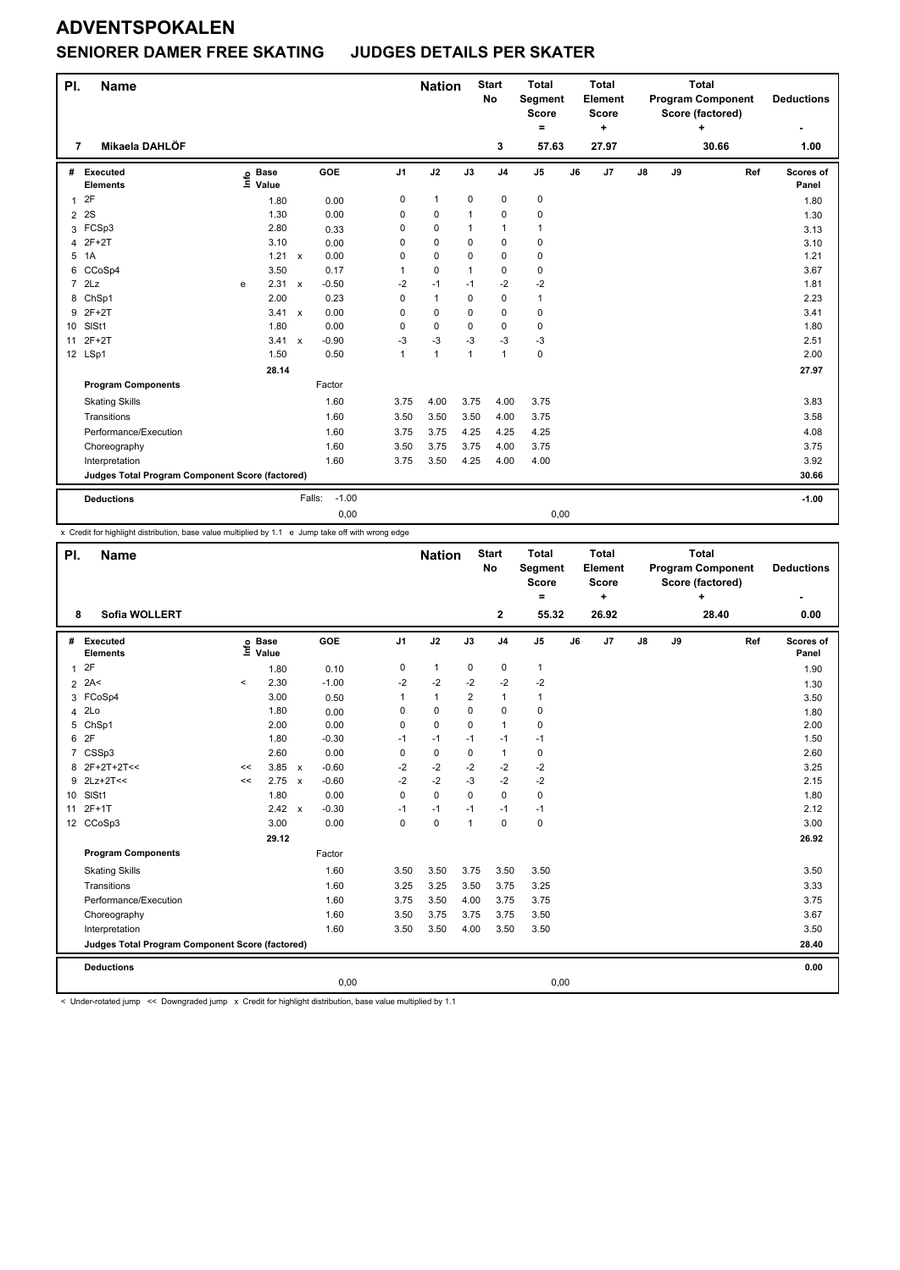#### **SENIORER DAMER FREE SKATING JUDGES DETAILS PER SKATER**

| PI.            | <b>Name</b>                                     |   |                                  |              |                   |                | <b>Nation</b> |              | <b>Start</b><br><b>No</b> | <b>Total</b><br>Segment<br><b>Score</b><br>Ξ. |    | <b>Total</b><br>Element<br><b>Score</b><br>٠ |    |    | <b>Total</b><br><b>Program Component</b><br>Score (factored) |     | <b>Deductions</b>  |
|----------------|-------------------------------------------------|---|----------------------------------|--------------|-------------------|----------------|---------------|--------------|---------------------------|-----------------------------------------------|----|----------------------------------------------|----|----|--------------------------------------------------------------|-----|--------------------|
| 7              | Mikaela DAHLÖF                                  |   |                                  |              |                   |                |               |              | 3                         | 57.63                                         |    | 27.97                                        |    |    | 30.66                                                        |     | 1.00               |
| #              | Executed<br><b>Elements</b>                     |   | <b>Base</b><br>e Base<br>⊑ Value |              | GOE               | J <sub>1</sub> | J2            | J3           | J <sub>4</sub>            | J5                                            | J6 | J7                                           | J8 | J9 |                                                              | Ref | Scores of<br>Panel |
| 1              | 2F                                              |   | 1.80                             |              | 0.00              | 0              | $\mathbf{1}$  | 0            | $\mathbf 0$               | 0                                             |    |                                              |    |    |                                                              |     | 1.80               |
| $\overline{2}$ | 2S                                              |   | 1.30                             |              | 0.00              | 0              | 0             | 1            | $\mathbf 0$               | 0                                             |    |                                              |    |    |                                                              |     | 1.30               |
| 3              | FCSp3                                           |   | 2.80                             |              | 0.33              | 0              | $\mathbf 0$   | 1            | $\mathbf{1}$              | $\mathbf{1}$                                  |    |                                              |    |    |                                                              |     | 3.13               |
| 4              | $2F+2T$                                         |   | 3.10                             |              | 0.00              | $\Omega$       | 0             | 0            | $\mathbf 0$               | 0                                             |    |                                              |    |    |                                                              |     | 3.10               |
| 5              | 1A                                              |   | 1.21                             | $\mathsf{x}$ | 0.00              | 0              | 0             | 0            | $\mathbf 0$               | 0                                             |    |                                              |    |    |                                                              |     | 1.21               |
| 6              | CCoSp4                                          |   | 3.50                             |              | 0.17              | 1              | 0             | $\mathbf{1}$ | 0                         | 0                                             |    |                                              |    |    |                                                              |     | 3.67               |
| $\overline{7}$ | 2Lz                                             | e | 2.31                             | $\mathsf{x}$ | $-0.50$           | $-2$           | -1            | $-1$         | $-2$                      | $-2$                                          |    |                                              |    |    |                                                              |     | 1.81               |
| 8              | ChSp1                                           |   | 2.00                             |              | 0.23              | 0              | $\mathbf{1}$  | 0            | $\mathbf 0$               | $\mathbf{1}$                                  |    |                                              |    |    |                                                              |     | 2.23               |
| 9              | $2F+2T$                                         |   | $3.41 \times$                    |              | 0.00              | 0              | $\mathbf 0$   | 0            | 0                         | 0                                             |    |                                              |    |    |                                                              |     | 3.41               |
| 10             | SISt1                                           |   | 1.80                             |              | 0.00              | 0              | $\mathbf 0$   | 0            | $\mathbf 0$               | 0                                             |    |                                              |    |    |                                                              |     | 1.80               |
| 11             | $2F+2T$                                         |   | 3.41                             | $\mathsf{x}$ | $-0.90$           | $-3$           | $-3$          | $-3$         | $-3$                      | -3                                            |    |                                              |    |    |                                                              |     | 2.51               |
|                | 12 LSp1                                         |   | 1.50                             |              | 0.50              | 1              | $\mathbf{1}$  | $\mathbf{1}$ | $\mathbf{1}$              | 0                                             |    |                                              |    |    |                                                              |     | 2.00               |
|                |                                                 |   | 28.14                            |              |                   |                |               |              |                           |                                               |    |                                              |    |    |                                                              |     | 27.97              |
|                | <b>Program Components</b>                       |   |                                  |              | Factor            |                |               |              |                           |                                               |    |                                              |    |    |                                                              |     |                    |
|                | <b>Skating Skills</b>                           |   |                                  |              | 1.60              | 3.75           | 4.00          | 3.75         | 4.00                      | 3.75                                          |    |                                              |    |    |                                                              |     | 3.83               |
|                | Transitions                                     |   |                                  |              | 1.60              | 3.50           | 3.50          | 3.50         | 4.00                      | 3.75                                          |    |                                              |    |    |                                                              |     | 3.58               |
|                | Performance/Execution                           |   |                                  |              | 1.60              | 3.75           | 3.75          | 4.25         | 4.25                      | 4.25                                          |    |                                              |    |    |                                                              |     | 4.08               |
|                | Choreography                                    |   |                                  |              | 1.60              | 3.50           | 3.75          | 3.75         | 4.00                      | 3.75                                          |    |                                              |    |    |                                                              |     | 3.75               |
|                | Interpretation                                  |   |                                  |              | 1.60              | 3.75           | 3.50          | 4.25         | 4.00                      | 4.00                                          |    |                                              |    |    |                                                              |     | 3.92               |
|                | Judges Total Program Component Score (factored) |   |                                  |              |                   |                |               |              |                           |                                               |    |                                              |    |    |                                                              |     | 30.66              |
|                | <b>Deductions</b>                               |   |                                  |              | $-1.00$<br>Falls: |                |               |              |                           |                                               |    |                                              |    |    |                                                              |     | $-1.00$            |
|                |                                                 |   |                                  |              | 0,00              |                |               |              |                           | 0,00                                          |    |                                              |    |    |                                                              |     |                    |

x Credit for highlight distribution, base value multiplied by 1.1 e Jump take off with wrong edge

| PI.            | <b>Name</b>                                     |         |                            |            |                | <b>Nation</b> |                | <b>Start</b><br><b>No</b> | <b>Total</b><br>Segment<br><b>Score</b> |    | <b>Total</b><br>Element<br>Score |               |    | <b>Total</b><br><b>Program Component</b><br>Score (factored) |     | <b>Deductions</b>  |
|----------------|-------------------------------------------------|---------|----------------------------|------------|----------------|---------------|----------------|---------------------------|-----------------------------------------|----|----------------------------------|---------------|----|--------------------------------------------------------------|-----|--------------------|
| 8              | <b>Sofia WOLLERT</b>                            |         |                            |            |                |               |                | $\mathbf{2}$              | $=$<br>55.32                            |    | ٠<br>26.92                       |               |    | ÷<br>28.40                                                   |     | 0.00               |
|                |                                                 |         |                            |            |                |               |                |                           |                                         |    |                                  |               |    |                                                              |     |                    |
| #              | Executed<br><b>Elements</b>                     |         | e Base<br>E Value<br>Value | <b>GOE</b> | J <sub>1</sub> | J2            | J3             | J <sub>4</sub>            | J5                                      | J6 | J7                               | $\mathsf{J}8$ | J9 |                                                              | Ref | Scores of<br>Panel |
| $\mathbf{1}$   | 2F                                              |         | 1.80                       | 0.10       | 0              | $\mathbf{1}$  | 0              | $\mathbf 0$               | $\mathbf{1}$                            |    |                                  |               |    |                                                              |     | 1.90               |
|                | $2$ 2A<                                         | $\prec$ | 2.30                       | $-1.00$    | $-2$           | $-2$          | $-2$           | $-2$                      | $-2$                                    |    |                                  |               |    |                                                              |     | 1.30               |
|                | 3 FCoSp4                                        |         | 3.00                       | 0.50       | 1              | $\mathbf{1}$  | $\overline{2}$ | 1                         | 1                                       |    |                                  |               |    |                                                              |     | 3.50               |
| 4              | 2Lo                                             |         | 1.80                       | 0.00       | 0              | $\mathbf 0$   | $\Omega$       | $\mathbf 0$               | 0                                       |    |                                  |               |    |                                                              |     | 1.80               |
| 5              | ChSp1                                           |         | 2.00                       | 0.00       | 0              | $\mathbf 0$   | $\Omega$       | $\mathbf{1}$              | 0                                       |    |                                  |               |    |                                                              |     | 2.00               |
| 6              | 2F                                              |         | 1.80                       | $-0.30$    | $-1$           | $-1$          | $-1$           | $-1$                      | $-1$                                    |    |                                  |               |    |                                                              |     | 1.50               |
| $\overline{7}$ | CSSp3                                           |         | 2.60                       | 0.00       | 0              | $\mathbf 0$   | 0              | $\mathbf{1}$              | 0                                       |    |                                  |               |    |                                                              |     | 2.60               |
| 8              | 2F+2T+2T<<                                      | <<      | 3.85 x                     | $-0.60$    | $-2$           | $-2$          | $-2$           | $-2$                      | $-2$                                    |    |                                  |               |    |                                                              |     | 3.25               |
| 9              | $2Lz+2T<<$                                      | <<      | 2.75 x                     | $-0.60$    | $-2$           | $-2$          | $-3$           | $-2$                      | $-2$                                    |    |                                  |               |    |                                                              |     | 2.15               |
| 10             | SISt1                                           |         | 1.80                       | 0.00       | $\Omega$       | $\mathbf 0$   | $\Omega$       | $\Omega$                  | 0                                       |    |                                  |               |    |                                                              |     | 1.80               |
| 11             | $2F+1T$                                         |         | 2.42 x                     | $-0.30$    | -1             | $-1$          | $-1$           | $-1$                      | $-1$                                    |    |                                  |               |    |                                                              |     | 2.12               |
|                | 12 CCoSp3                                       |         | 3.00                       | 0.00       | $\mathbf 0$    | $\mathbf 0$   | $\mathbf{1}$   | $\mathbf 0$               | 0                                       |    |                                  |               |    |                                                              |     | 3.00               |
|                |                                                 |         | 29.12                      |            |                |               |                |                           |                                         |    |                                  |               |    |                                                              |     | 26.92              |
|                | <b>Program Components</b>                       |         |                            | Factor     |                |               |                |                           |                                         |    |                                  |               |    |                                                              |     |                    |
|                | <b>Skating Skills</b>                           |         |                            | 1.60       | 3.50           | 3.50          | 3.75           | 3.50                      | 3.50                                    |    |                                  |               |    |                                                              |     | 3.50               |
|                | Transitions                                     |         |                            | 1.60       | 3.25           | 3.25          | 3.50           | 3.75                      | 3.25                                    |    |                                  |               |    |                                                              |     | 3.33               |
|                | Performance/Execution                           |         |                            | 1.60       | 3.75           | 3.50          | 4.00           | 3.75                      | 3.75                                    |    |                                  |               |    |                                                              |     | 3.75               |
|                | Choreography                                    |         |                            | 1.60       | 3.50           | 3.75          | 3.75           | 3.75                      | 3.50                                    |    |                                  |               |    |                                                              |     | 3.67               |
|                | Interpretation                                  |         |                            | 1.60       | 3.50           | 3.50          | 4.00           | 3.50                      | 3.50                                    |    |                                  |               |    |                                                              |     | 3.50               |
|                | Judges Total Program Component Score (factored) |         |                            |            |                |               |                |                           |                                         |    |                                  |               |    |                                                              |     | 28.40              |
|                | <b>Deductions</b>                               |         |                            |            |                |               |                |                           |                                         |    |                                  |               |    |                                                              |     | 0.00               |
|                |                                                 |         |                            | 0,00       |                |               |                |                           | 0,00                                    |    |                                  |               |    |                                                              |     |                    |

< Under-rotated jump << Downgraded jump x Credit for highlight distribution, base value multiplied by 1.1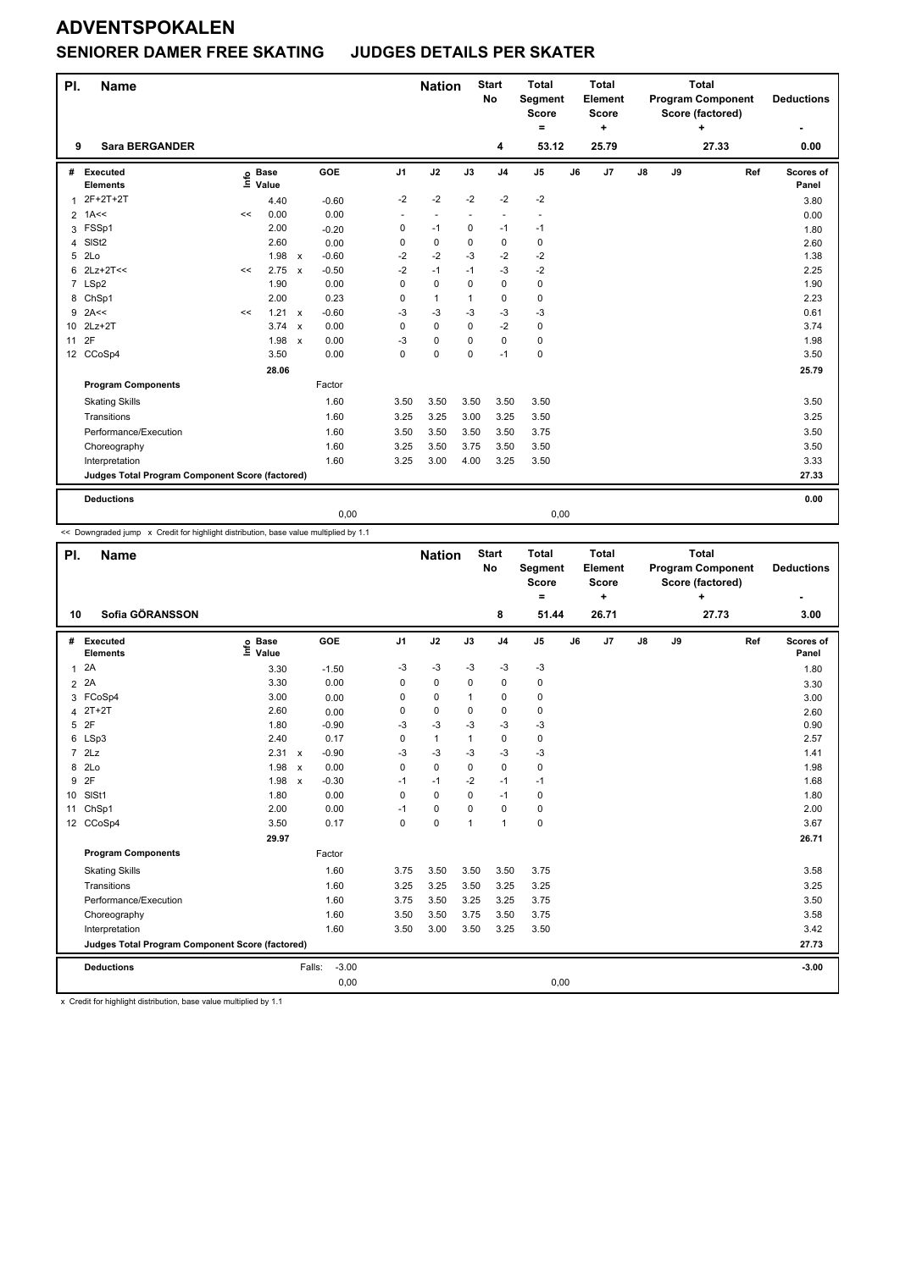#### **SENIORER DAMER FREE SKATING JUDGES DETAILS PER SKATER**

| PI. | <b>Name</b>                                     |    |                                  |              |         |                | <b>Nation</b>  |              | <b>Start</b><br>No       | <b>Total</b><br>Segment<br><b>Score</b><br>Ξ. |    | <b>Total</b><br>Element<br><b>Score</b><br>÷ |               |    | <b>Total</b><br><b>Program Component</b><br>Score (factored)<br>4 |     | <b>Deductions</b>  |
|-----|-------------------------------------------------|----|----------------------------------|--------------|---------|----------------|----------------|--------------|--------------------------|-----------------------------------------------|----|----------------------------------------------|---------------|----|-------------------------------------------------------------------|-----|--------------------|
| 9   | <b>Sara BERGANDER</b>                           |    |                                  |              |         |                |                |              | 4                        | 53.12                                         |    | 25.79                                        |               |    | 27.33                                                             |     | 0.00               |
| #   | Executed<br><b>Elements</b>                     |    | <b>Base</b><br>e Base<br>⊑ Value |              | GOE     | J <sub>1</sub> | J2             | J3           | J <sub>4</sub>           | J5                                            | J6 | J7                                           | $\mathsf{J}8$ | J9 |                                                                   | Ref | Scores of<br>Panel |
| 1   | 2F+2T+2T                                        |    | 4.40                             |              | $-0.60$ | $-2$           | $-2$           | $-2$         | $-2$                     | $-2$                                          |    |                                              |               |    |                                                                   |     | 3.80               |
|     | $2$ 1A<<                                        | << | 0.00                             |              | 0.00    | ٠              | $\overline{a}$ | ٠            | $\overline{\phantom{a}}$ |                                               |    |                                              |               |    |                                                                   |     | 0.00               |
| 3   | FSSp1                                           |    | 2.00                             |              | $-0.20$ | 0              | $-1$           | $\mathbf 0$  | $-1$                     | $-1$                                          |    |                                              |               |    |                                                                   |     | 1.80               |
| 4   | SISt <sub>2</sub>                               |    | 2.60                             |              | 0.00    | 0              | $\pmb{0}$      | $\Omega$     | $\pmb{0}$                | 0                                             |    |                                              |               |    |                                                                   |     | 2.60               |
| 5   | 2Lo                                             |    | 1.98                             | $\mathsf{x}$ | $-0.60$ | $-2$           | $-2$           | $-3$         | $-2$                     | $-2$                                          |    |                                              |               |    |                                                                   |     | 1.38               |
| 6   | $2Lz+2T<<$                                      | << | 2.75                             | $\mathsf{x}$ | $-0.50$ | $-2$           | $-1$           | $-1$         | $-3$                     | $-2$                                          |    |                                              |               |    |                                                                   |     | 2.25               |
|     | 7 LSp2                                          |    | 1.90                             |              | 0.00    | 0              | $\mathbf 0$    | $\Omega$     | $\mathbf 0$              | $\mathbf 0$                                   |    |                                              |               |    |                                                                   |     | 1.90               |
|     | 8 ChSp1                                         |    | 2.00                             |              | 0.23    | 0              | $\mathbf{1}$   | $\mathbf{1}$ | 0                        | $\mathbf 0$                                   |    |                                              |               |    |                                                                   |     | 2.23               |
| 9   | 2A<<                                            | << | 1.21                             | $\mathsf{x}$ | $-0.60$ | $-3$           | $-3$           | $-3$         | $-3$                     | $-3$                                          |    |                                              |               |    |                                                                   |     | 0.61               |
|     | 10 2Lz+2T                                       |    | $3.74 \times$                    |              | 0.00    | 0              | $\mathbf 0$    | 0            | $-2$                     | 0                                             |    |                                              |               |    |                                                                   |     | 3.74               |
| 11  | 2F                                              |    | 1.98                             | $\mathsf{x}$ | 0.00    | -3             | $\mathbf 0$    | $\Omega$     | $\mathbf 0$              | 0                                             |    |                                              |               |    |                                                                   |     | 1.98               |
|     | 12 CCoSp4                                       |    | 3.50                             |              | 0.00    | 0              | $\mathbf 0$    | $\mathbf 0$  | $-1$                     | $\mathbf 0$                                   |    |                                              |               |    |                                                                   |     | 3.50               |
|     |                                                 |    | 28.06                            |              |         |                |                |              |                          |                                               |    |                                              |               |    |                                                                   |     | 25.79              |
|     | <b>Program Components</b>                       |    |                                  |              | Factor  |                |                |              |                          |                                               |    |                                              |               |    |                                                                   |     |                    |
|     | <b>Skating Skills</b>                           |    |                                  |              | 1.60    | 3.50           | 3.50           | 3.50         | 3.50                     | 3.50                                          |    |                                              |               |    |                                                                   |     | 3.50               |
|     | Transitions                                     |    |                                  |              | 1.60    | 3.25           | 3.25           | 3.00         | 3.25                     | 3.50                                          |    |                                              |               |    |                                                                   |     | 3.25               |
|     | Performance/Execution                           |    |                                  |              | 1.60    | 3.50           | 3.50           | 3.50         | 3.50                     | 3.75                                          |    |                                              |               |    |                                                                   |     | 3.50               |
|     | Choreography                                    |    |                                  |              | 1.60    | 3.25           | 3.50           | 3.75         | 3.50                     | 3.50                                          |    |                                              |               |    |                                                                   |     | 3.50               |
|     | Interpretation                                  |    |                                  |              | 1.60    | 3.25           | 3.00           | 4.00         | 3.25                     | 3.50                                          |    |                                              |               |    |                                                                   |     | 3.33               |
|     | Judges Total Program Component Score (factored) |    |                                  |              |         |                |                |              |                          |                                               |    |                                              |               |    |                                                                   |     | 27.33              |
|     | <b>Deductions</b>                               |    |                                  |              |         |                |                |              |                          |                                               |    |                                              |               |    |                                                                   |     | 0.00               |
|     |                                                 |    |                                  |              | 0,00    |                |                |              |                          | 0,00                                          |    |                                              |               |    |                                                                   |     |                    |

<< Downgraded jump x Credit for highlight distribution, base value multiplied by 1.1

| PI.            | <b>Name</b>                                     |                            |                                      |                | <b>Nation</b> |              | <b>Start</b><br><b>No</b> | <b>Total</b><br>Segment<br><b>Score</b><br>$\equiv$ |    | <b>Total</b><br>Element<br><b>Score</b><br>٠ |               |    | <b>Total</b><br><b>Program Component</b><br>Score (factored)<br>÷ |     | <b>Deductions</b>  |
|----------------|-------------------------------------------------|----------------------------|--------------------------------------|----------------|---------------|--------------|---------------------------|-----------------------------------------------------|----|----------------------------------------------|---------------|----|-------------------------------------------------------------------|-----|--------------------|
| 10             | Sofia GÖRANSSON                                 |                            |                                      |                |               |              | 8                         | 51.44                                               |    | 26.71                                        |               |    | 27.73                                                             |     | 3.00               |
| #              | Executed<br><b>Elements</b>                     | <b>Base</b><br>١m<br>Value | <b>GOE</b>                           | J <sub>1</sub> | J2            | J3           | J <sub>4</sub>            | J <sub>5</sub>                                      | J6 | J7                                           | $\mathsf{J}8$ | J9 |                                                                   | Ref | Scores of<br>Panel |
| 1              | 2A                                              | 3.30                       | $-1.50$                              | $-3$           | $-3$          | $-3$         | $-3$                      | $-3$                                                |    |                                              |               |    |                                                                   |     | 1.80               |
| $\overline{2}$ | 2A                                              | 3.30                       | 0.00                                 | 0              | $\mathbf 0$   | 0            | $\mathbf 0$               | 0                                                   |    |                                              |               |    |                                                                   |     | 3.30               |
|                | 3 FCoSp4                                        | 3.00                       | 0.00                                 | 0              | 0             | $\mathbf{1}$ | 0                         | 0                                                   |    |                                              |               |    |                                                                   |     | 3.00               |
| 4              | $2T+2T$                                         | 2.60                       | 0.00                                 | 0              | 0             | 0            | $\mathbf 0$               | 0                                                   |    |                                              |               |    |                                                                   |     | 2.60               |
| 5              | 2F                                              | 1.80                       | $-0.90$                              | $-3$           | $-3$          | $-3$         | $-3$                      | $-3$                                                |    |                                              |               |    |                                                                   |     | 0.90               |
| 6              | LSp3                                            | 2.40                       | 0.17                                 | 0              | $\mathbf{1}$  | $\mathbf{1}$ | 0                         | 0                                                   |    |                                              |               |    |                                                                   |     | 2.57               |
|                | $7$ $2Lz$                                       | 2.31                       | $-0.90$<br>$\boldsymbol{\mathsf{x}}$ | $-3$           | $-3$          | $-3$         | $-3$                      | $-3$                                                |    |                                              |               |    |                                                                   |     | 1.41               |
| 8              | 2Lo                                             | 1.98                       | 0.00<br>$\boldsymbol{\mathsf{x}}$    | $\Omega$       | $\mathbf 0$   | 0            | $\Omega$                  | 0                                                   |    |                                              |               |    |                                                                   |     | 1.98               |
| 9              | 2F                                              | 1.98                       | $-0.30$<br>$\boldsymbol{\mathsf{x}}$ | $-1$           | $-1$          | $-2$         | $-1$                      | $-1$                                                |    |                                              |               |    |                                                                   |     | 1.68               |
| 10             | SISt1                                           | 1.80                       | 0.00                                 | $\mathbf 0$    | $\mathbf 0$   | 0            | $-1$                      | 0                                                   |    |                                              |               |    |                                                                   |     | 1.80               |
| 11             | ChSp1                                           | 2.00                       | 0.00                                 | $-1$           | 0             | 0            | $\mathbf 0$               | 0                                                   |    |                                              |               |    |                                                                   |     | 2.00               |
|                | 12 CCoSp4                                       | 3.50                       | 0.17                                 | $\mathbf 0$    | 0             | $\mathbf{1}$ | 1                         | 0                                                   |    |                                              |               |    |                                                                   |     | 3.67               |
|                |                                                 | 29.97                      |                                      |                |               |              |                           |                                                     |    |                                              |               |    |                                                                   |     | 26.71              |
|                | <b>Program Components</b>                       |                            | Factor                               |                |               |              |                           |                                                     |    |                                              |               |    |                                                                   |     |                    |
|                | <b>Skating Skills</b>                           |                            | 1.60                                 | 3.75           | 3.50          | 3.50         | 3.50                      | 3.75                                                |    |                                              |               |    |                                                                   |     | 3.58               |
|                | Transitions                                     |                            | 1.60                                 | 3.25           | 3.25          | 3.50         | 3.25                      | 3.25                                                |    |                                              |               |    |                                                                   |     | 3.25               |
|                | Performance/Execution                           |                            | 1.60                                 | 3.75           | 3.50          | 3.25         | 3.25                      | 3.75                                                |    |                                              |               |    |                                                                   |     | 3.50               |
|                | Choreography                                    |                            | 1.60                                 | 3.50           | 3.50          | 3.75         | 3.50                      | 3.75                                                |    |                                              |               |    |                                                                   |     | 3.58               |
|                | Interpretation                                  |                            | 1.60                                 | 3.50           | 3.00          | 3.50         | 3.25                      | 3.50                                                |    |                                              |               |    |                                                                   |     | 3.42               |
|                | Judges Total Program Component Score (factored) |                            |                                      |                |               |              |                           |                                                     |    |                                              |               |    |                                                                   |     | 27.73              |
|                | <b>Deductions</b>                               |                            | $-3.00$<br>Falls:                    |                |               |              |                           |                                                     |    |                                              |               |    |                                                                   |     | $-3.00$            |
|                |                                                 |                            | 0,00                                 |                |               |              |                           | 0,00                                                |    |                                              |               |    |                                                                   |     |                    |

x Credit for highlight distribution, base value multiplied by 1.1